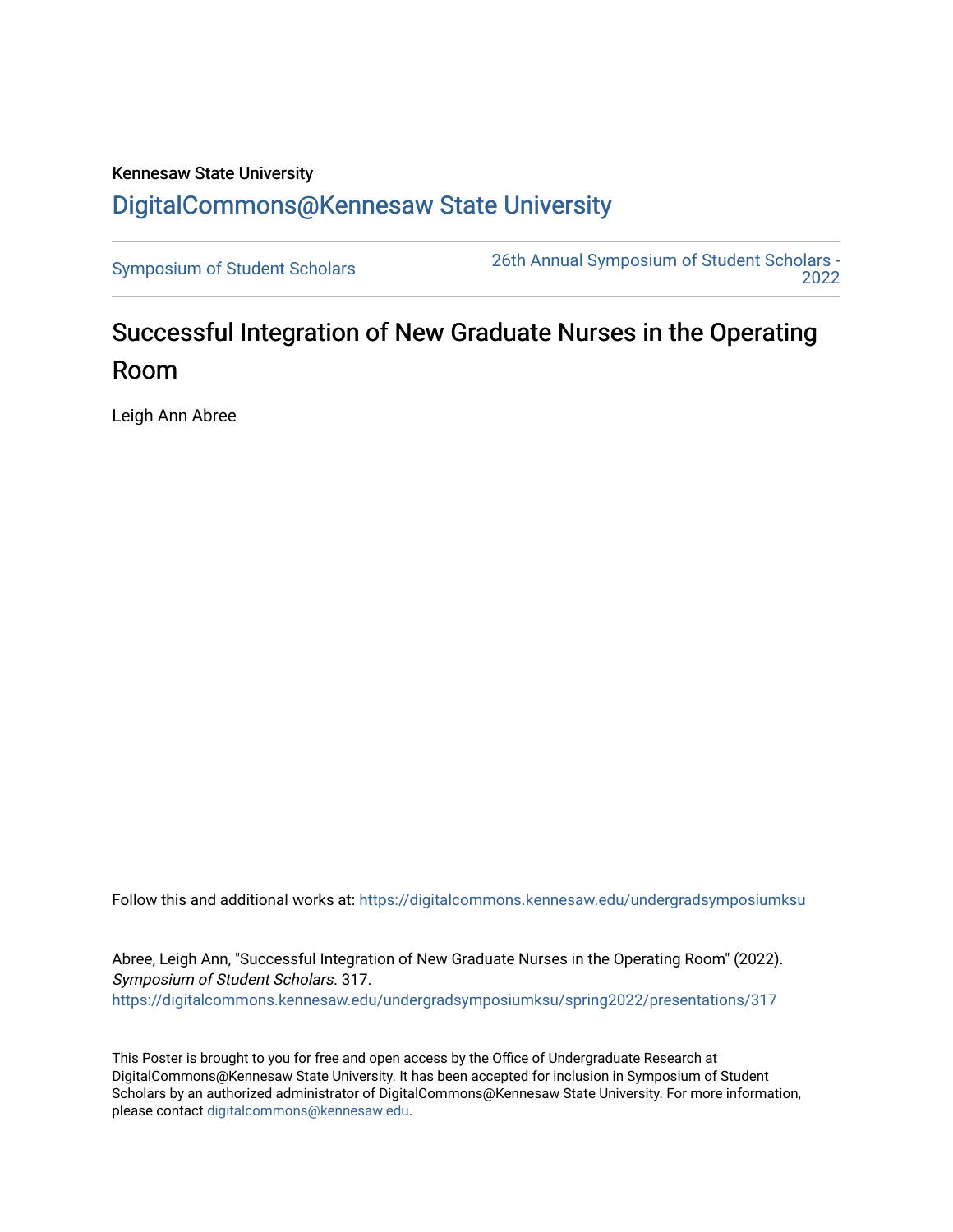## Kennesaw State University [DigitalCommons@Kennesaw State University](https://digitalcommons.kennesaw.edu/)

[Symposium of Student Scholars](https://digitalcommons.kennesaw.edu/undergradsymposiumksu) [26th Annual Symposium of Student Scholars -](https://digitalcommons.kennesaw.edu/undergradsymposiumksu/spring2022)  [2022](https://digitalcommons.kennesaw.edu/undergradsymposiumksu/spring2022) 

## Successful Integration of New Graduate Nurses in the Operating Room

Leigh Ann Abree

Follow this and additional works at: [https://digitalcommons.kennesaw.edu/undergradsymposiumksu](https://digitalcommons.kennesaw.edu/undergradsymposiumksu?utm_source=digitalcommons.kennesaw.edu%2Fundergradsymposiumksu%2Fspring2022%2Fpresentations%2F317&utm_medium=PDF&utm_campaign=PDFCoverPages) 

Abree, Leigh Ann, "Successful Integration of New Graduate Nurses in the Operating Room" (2022). Symposium of Student Scholars. 317. [https://digitalcommons.kennesaw.edu/undergradsymposiumksu/spring2022/presentations/317](https://digitalcommons.kennesaw.edu/undergradsymposiumksu/spring2022/presentations/317?utm_source=digitalcommons.kennesaw.edu%2Fundergradsymposiumksu%2Fspring2022%2Fpresentations%2F317&utm_medium=PDF&utm_campaign=PDFCoverPages)

This Poster is brought to you for free and open access by the Office of Undergraduate Research at DigitalCommons@Kennesaw State University. It has been accepted for inclusion in Symposium of Student Scholars by an authorized administrator of DigitalCommons@Kennesaw State University. For more information, please contact [digitalcommons@kennesaw.edu.](mailto:digitalcommons@kennesaw.edu)